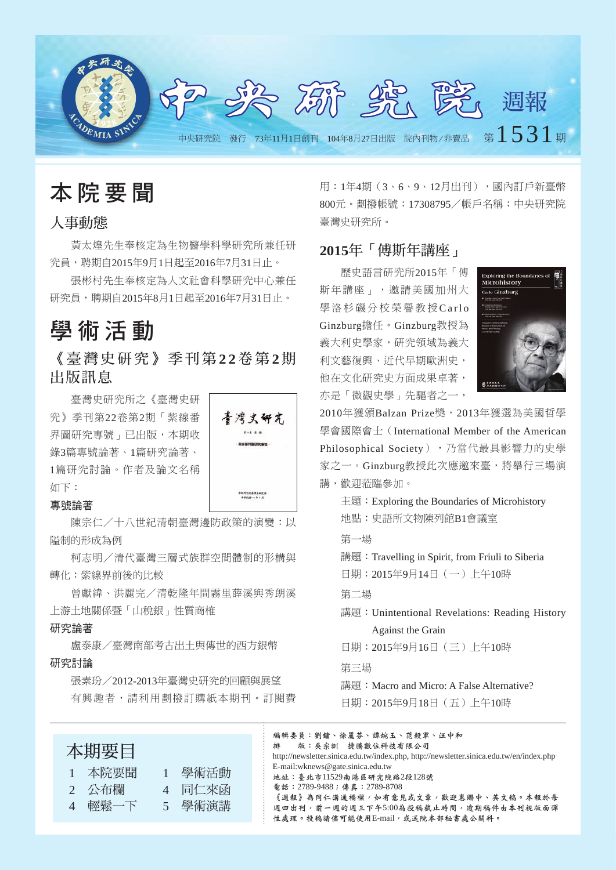

本 院 要 聞

# 人事動態

黃太煌先生奉核定為生物醫學科學研究所兼任研 究員,聘期自2015年9月1日起至2016年7月31日止。

張彬村先生奉核定為人文社會科學研究中心兼任 研究員,聘期自2015年8月1日起至2016年7月31日止。

# 學 術 活 動

《 臺 灣 史 研 究 》 季 刊 第 **2 2**卷 第 **2**期 出版訊息

喜湾史研究

-<br>\*\*\*\*\*\*\*\*\*\*\*\*

臺灣史研究所之《臺灣史研 究》季刊第22卷第2期「紫線番 界圖研究專號 , 已出版, 本期收 錄3篇專號論著、1篇研究論著、 1篇研究討論。作者及論文名稱 如下:

### 專號論著

陳宗仁/十八世紀清朝臺灣邊防政策的演變:以 隘制的形成為例

柯志明/清代臺灣三層式族群空間體制的形構與 轉化:紫線界前後的比較

曾獻緯、洪麗完/清乾隆年間霧里薛溪與秀朗溪 上游土地關係暨「山稅銀」性質商榷

### 研究論著

盧泰康/臺灣南部考古出土與傳世的西方銀幣 研究討論

張素玢/2012-2013年臺灣史研究的回顧與展望 有興趣者,請利用劃撥訂購紙本期刊。訂閱費 用: 1年4期(3、6、9、12月出刊),國內訂戶新臺幣 800元。劃撥帳號:17308795/帳戶名稱:中央研究院 臺灣史研究所。

## **2015**年「傅斯年講座」

歷史語言研究所2015年「傅 斯年講座」,邀請美國加州大 學洛杉磯分校榮譽教授Carlo Ginzburg擔任。Ginzburg教授為 義大利史學家,研究領域為義大 利文藝復興、近代早期歐洲史, 他在文化研究史方面成果卓著, 亦是「微觀史學」先驅者之一,



2010年獲頒Balzan Prize獎,2013年獲選為美國哲學 學會國際會士(International Member of the American Philosophical Society), 乃當代最具影響力的史學 家之一。Ginzburg教授此次應邀來臺,將舉行三場演 講,歡迎蒞臨參加。

主題:Exploring the Boundaries of Microhistory 地點:史語所文物陳列館B1會議室

#### 第一場

講題:Travelling in Spirit, from Friuli to Siberia 日期:2015年9月14日(一)上午10時

### 第二場

講題: Unintentional Revelations: Reading History Against the Grain

日期:2015年9月16日(三)上午10時

## 第三場

講題: Macro and Micro: A False Alternative?

日期:2015年9月18日(五)上午10時

編輯委員:劉鏞、徐麗芬、譚婉玉、范毅軍、汪中和 排 版:吳宗訓 捷騰數位科技有限公司 http://newsletter.sinica.edu.tw/index.php, http://newsletter.sinica.edu.tw/en/index.php E-mail:wknews@gate.sinica.edu.tw 地址:臺北市11529南港區研究院路2段128號 電話:2789-9488;傳真:2789-8708 《週報》為同仁溝通橋樑,如有意見或文章,歡迎惠賜中、英文稿。本報於每 週四出刊,前一週的週三下午5:00為投稿截止時間,逾期稿件由本刊視版面彈 性處理。投稿請儘可能使用E-mail,或送院本部秘書處公關科。

 1 本院要聞 1 學術活動 2 公布欄 4 同仁來函

4 輕鬆一下 5 學術演講

本期要目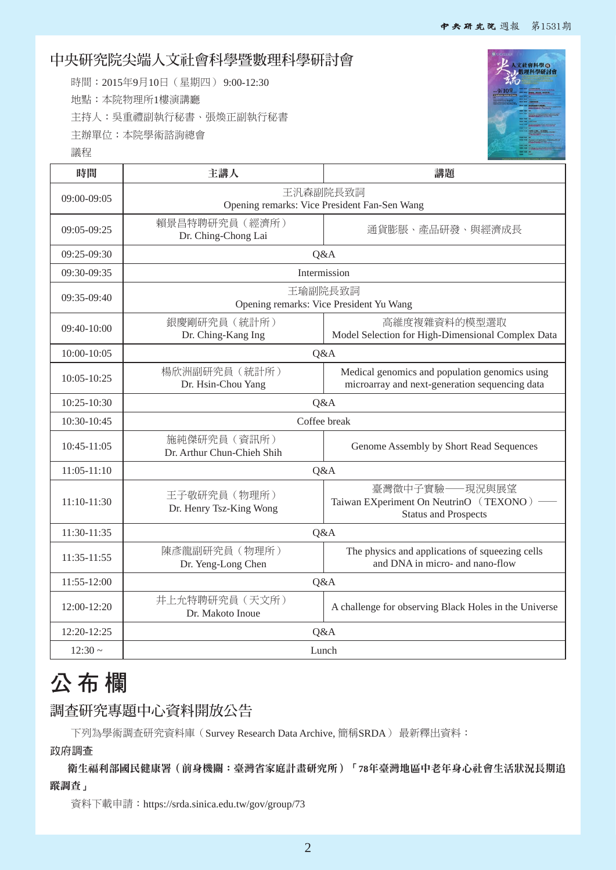# 中央研究院尖端人文社會科學暨數理科學研討會

時間:2015年9月10日(星期四) 9:00-12:30 地點:本院物理所1樓演講廳 主持人:吳重禮副執行秘書、張煥正副執行秘書 主辦單位:本院學術諮詢總會





| 時間              | 主講人                                                                                                                       | 講題                                                                                               |  |  |  |  |
|-----------------|---------------------------------------------------------------------------------------------------------------------------|--------------------------------------------------------------------------------------------------|--|--|--|--|
| 09:00-09:05     | 王汎森副院長致詞<br>Opening remarks: Vice President Fan-Sen Wang                                                                  |                                                                                                  |  |  |  |  |
| 09:05-09:25     | 賴景昌特聘研究員 (經濟所)<br>Dr. Ching-Chong Lai                                                                                     | 通貨膨脹、產品研發、與經濟成長                                                                                  |  |  |  |  |
| 09:25-09:30     |                                                                                                                           | Q&A                                                                                              |  |  |  |  |
| 09:30-09:35     |                                                                                                                           | Intermission                                                                                     |  |  |  |  |
| 09:35-09:40     | 王瑜副院長致詞<br>Opening remarks: Vice President Yu Wang                                                                        |                                                                                                  |  |  |  |  |
| $09:40-10:00$   | 銀慶剛研究員 (統計所)<br>Dr. Ching-Kang Ing                                                                                        | 高維度複雜資料的模型選取<br>Model Selection for High-Dimensional Complex Data                                |  |  |  |  |
| 10:00-10:05     | Q&A                                                                                                                       |                                                                                                  |  |  |  |  |
| 10:05-10:25     | 楊欣洲副研究員 (統計所)<br>Dr. Hsin-Chou Yang                                                                                       | Medical genomics and population genomics using<br>microarray and next-generation sequencing data |  |  |  |  |
| 10:25-10:30     | Q&A                                                                                                                       |                                                                                                  |  |  |  |  |
| 10:30-10:45     | Coffee break                                                                                                              |                                                                                                  |  |  |  |  |
| 10:45-11:05     | 施純傑研究員 (資訊所)<br>Dr. Arthur Chun-Chieh Shih                                                                                | Genome Assembly by Short Read Sequences                                                          |  |  |  |  |
| $11:05 - 11:10$ | Q&A                                                                                                                       |                                                                                                  |  |  |  |  |
| 11:10-11:30     | 王子敬研究員 (物理所)<br>Dr. Henry Tsz-King Wong                                                                                   | 臺灣微中子實驗––現況與展望<br>Taiwan EXperiment On NeutrinO (TEXONO) -<br><b>Status and Prospects</b>        |  |  |  |  |
| 11:30-11:35     | Q&A                                                                                                                       |                                                                                                  |  |  |  |  |
| 11:35-11:55     | 陳彥龍副研究員 (物理所)<br>The physics and applications of squeezing cells<br>and DNA in micro- and nano-flow<br>Dr. Yeng-Long Chen |                                                                                                  |  |  |  |  |
| 11:55-12:00     | Q&A                                                                                                                       |                                                                                                  |  |  |  |  |
| 12:00-12:20     | 井上允特聘研究員 (天文所)<br>A challenge for observing Black Holes in the Universe<br>Dr. Makoto Inoue                               |                                                                                                  |  |  |  |  |
| 12:20-12:25     | Q&A                                                                                                                       |                                                                                                  |  |  |  |  |
| $12:30 -$       | Lunch                                                                                                                     |                                                                                                  |  |  |  |  |

# 公 布 欄

# 調查研究專題中心資料開放公告

下列為學術調查研究資料庫(Survey Research Data Archive, 簡稱SRDA) 最新釋出資料:

政府調查

衛生福利部國民健康署(前身機關:臺灣省家庭計畫研究所)「**78**年臺灣地區中老年身心社會生活狀況長期追 蹤調查」

資料下載申請:https://srda.sinica.edu.tw/gov/group/73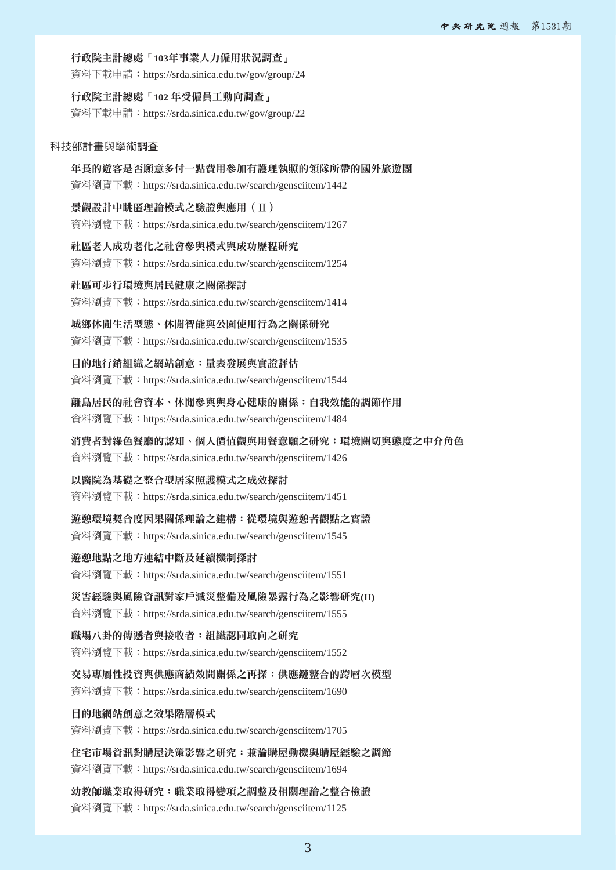#### 行政院主計總處「**103**年事業人力僱用狀況調查」

資料下載申請:https://srda.sinica.edu.tw/gov/group/24

## 行政院主計總處「**102** 年受僱員工動向調查」

資料下載申請:https://srda.sinica.edu.tw/gov/group/22

#### 科技部計畫與學術調查

年長的遊客是否願意多付一點費用參加有護理執照的領隊所帶的國外旅遊團 資料瀏覽下載:https://srda.sinica.edu.tw/search/gensciitem/1442

景觀設計中眺匿理論模式之驗證與應用(Ⅱ) 資料瀏覽下載:https://srda.sinica.edu.tw/search/gensciitem/1267

社區老人成功老化之社會參與模式與成功歷程研究

資料瀏覽下載:https://srda.sinica.edu.tw/search/gensciitem/1254

#### 社區可步行環境與居民健康之關係探討

資料瀏覽下載:https://srda.sinica.edu.tw/search/gensciitem/1414

### 城鄉休閒生活型態、休閒智能與公園使用行為之關係研究

資料瀏覽下載:https://srda.sinica.edu.tw/search/gensciitem/1535

目的地行銷組織之網站創意:量表發展與實證評估

資料瀏覽下載:https://srda.sinica.edu.tw/search/gensciitem/1544

### 離島居民的社會資本、休閒參與與身心健康的關係:自我效能的調節作用

資料瀏覽下載:https://srda.sinica.edu.tw/search/gensciitem/1484

#### 消費者對綠色餐廳的認知、個人價值觀與用餐意願之研究:環境關切與態度之中介角色

資料瀏覽下載:https://srda.sinica.edu.tw/search/gensciitem/1426

#### 以醫院為基礎之整合型居家照護模式之成效探討

資料瀏覽下載:https://srda.sinica.edu.tw/search/gensciitem/1451

### 遊憩環境契合度因果關係理論之建構:從環境與遊憩者觀點之實證

資料瀏覽下載:https://srda.sinica.edu.tw/search/gensciitem/1545

#### 遊憩地點之地方連結中斷及延續機制探討

資料瀏覽下載:https://srda.sinica.edu.tw/search/gensciitem/1551

### 災害經驗與風險資訊對家戶減災整備及風險暴露行為之影響研究**(II)**

資料瀏覽下載:https://srda.sinica.edu.tw/search/gensciitem/1555

### 職場八卦的傳遞者與接收者:組織認同取向之研究

資料瀏覽下載:https://srda.sinica.edu.tw/search/gensciitem/1552

## 交易專屬性投資與供應商績效間關係之再探:供應鏈整合的跨層次模型

資料瀏覽下載:https://srda.sinica.edu.tw/search/gensciitem/1690

#### 目的地網站創意之效果階層模式

資料瀏覽下載:https://srda.sinica.edu.tw/search/gensciitem/1705

#### 住宅市場資訊對購屋決策影響之研究:兼論購屋動機與購屋經驗之調節

資料瀏覽下載:https://srda.sinica.edu.tw/search/gensciitem/1694

# 幼教師職業取得研究:職業取得變項之調整及相關理論之整合檢證

資料瀏覽下載:https://srda.sinica.edu.tw/search/gensciitem/1125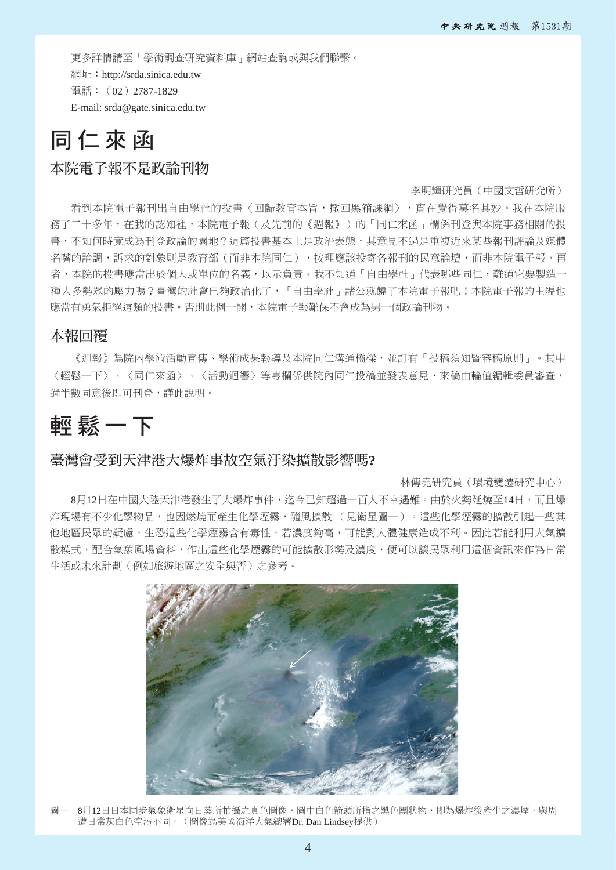更多詳情請至「學術調查研究資料庫」網站查詢或與我們聯繫。 網址:http://srda.sinica.edu.tw 電話:(02)2787-1829 E-mail: srda@gate.sinica.edu.tw

# 同 仁 來 函

# 本院電子報不是政論刊物

#### 李明輝研究員(中國文哲研究所)

看到本院電子報刊出自由學社的投書〈回歸教育本旨,撤回黑箱課綱〉,實在覺得莫名其妙。我在本院服 務了二十多年,在我的認知裡,本院電子報(及先前的《週報》)的「同仁來函」欄係刊登與本院事務相關的投 書,不知何時竟成為刊登政論的園地?這篇投書基本上是政治表態,其意見不過是重複近來某些報刊評論及媒體 名嘴的論調,訴求的對象則是教育部(而非本院同仁),按理應該投寄各報刊的民意論壇,而非本院電子報。再 者,本院的投書應當出於個人或單位的名義,以示負責。我不知道「自由學社」代表哪些同仁,難道它要製造一 種人多勢眾的壓力嗎?臺灣的社會已夠政治化了,「自由學社」諸公就饒了本院電子報吧!本院電子報的主編也 應當有勇氣拒絕這類的投書。否則此例一開,本院電子報難保不會成為另一個政論刊物。

## 本報回覆

《週報》為院內學術活動宣傳、學術成果報導及本院同仁溝通橋樑,並訂有「投稿須知暨審稿原則」。其中 〈輕鬆一下〉、〈同仁來函〉、〈活動迴響〉等專欄係供院內同仁投稿並發表意見,來稿由輪值編輯委員審查, 過半數同意後即可刊登,謹此說明。

# 輕 鬆 一 下

## 臺灣會受到天津港大爆炸事故空氣汙染擴散影響嗎**?**

#### 林傳堯研究員(環境變遷研究中心)

8月12日在中國大陸天津港發生了大爆炸事件,迄今已知超過一百人不幸遇難。由於火勢延燒至14日,而且爆 炸現場有不少化學物品,也因燃燒而產生化學煙霧,隨風擴散 (見衛星圖一)。這些化學煙霧的擴散引起一些其 他地區民眾的疑慮,生恐這些化學煙霧含有毒性,若濃度夠高,可能對人體健康造成不利。因此若能利用大氣擴 散模式,配合氣象風場資料,作出這些化學煙霧的可能擴散形勢及濃度,便可以讓民眾利用這個資訊來作為日常 生活或未來計劃(例如旅遊地區之安全與否)之參考。



圖一 8月12日日本同步氣象衛星向日葵所拍攝之真色圖像,圖中白色箭頭所指之黑色團狀物,即為爆炸後產生之濃煙,與周 遭日常灰白色空污不同。(圖像為美國海洋大氣總署Dr. Dan Lindsey提供)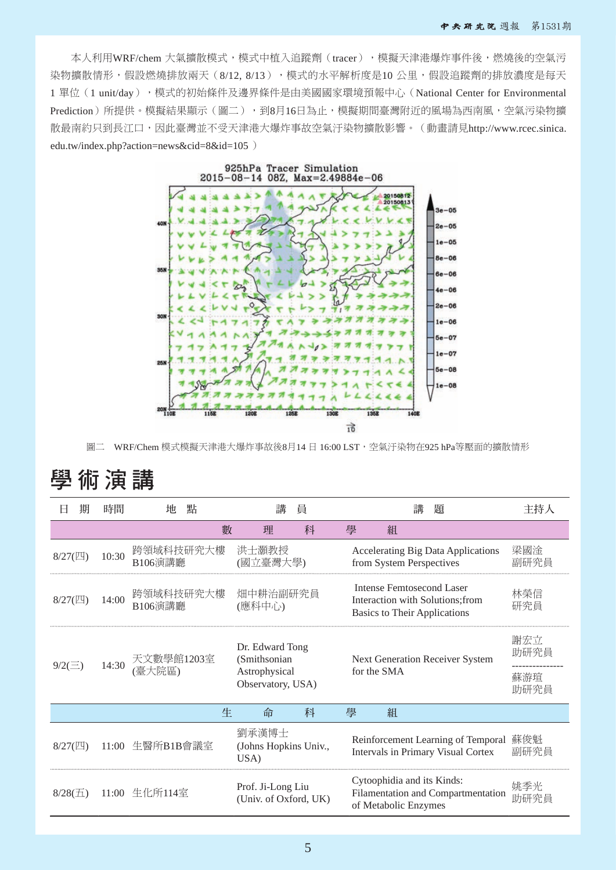本人利用WRF/chem 大氣擴散模式,模式中植入追蹤劑(tracer),模擬天津港爆炸事件後,燃燒後的空氣污 染物牆散情形,假設燃燒排放兩天(8/12, 8/13),標式的水平解析度是10 公里,假設追蹤劑的排放濃度是每天 1 單位(1 unit/day), 模式的初始條件及邊界條件是由美國國家環境預報中心(National Center for Environmental Prediction)所提供。模擬結果顯示(圖二),到8月16日為止,模擬期間臺灣附近的風場為西南風,空氣污染物擴 散最南約只到長江口,因此臺灣並不受天津港大爆炸事故空氣汙染物擴散影響。(動畫請見http://www.rcec.sinica. edu.tw/index.php?action=news&cid=8&id=105 )



圖二 WRF/Chem 模式模擬天津港大爆炸事故後8月14 日 16:00 LST,空氣汗染物在925 hPa等壓面的擴散情形

# 學 術 演 講

| Н             | 期     | 時間         | 地                    | 點                                                                     | 講<br>員                                     |                                                | 讍<br>題 |                                                    |                                                                                                      | 主持人         |
|---------------|-------|------------|----------------------|-----------------------------------------------------------------------|--------------------------------------------|------------------------------------------------|--------|----------------------------------------------------|------------------------------------------------------------------------------------------------------|-------------|
|               |       |            |                      | 數                                                                     | 理                                          | 科                                              | 學      | 組                                                  |                                                                                                      |             |
| $8/27$ (四)    |       | 10:30      | 跨領域科技研究大樓<br>B106演講廳 |                                                                       | 洪士灝教授<br>(國立臺灣大學)                          |                                                |        | from System Perspectives                           | Accelerating Big Data Applications                                                                   | 梁國淦<br>副研究員 |
| $8/27$ (四)    |       | 14:00      | 跨領域科技研究大樓<br>B106演講廳 |                                                                       | 畑中耕治副研究員<br>(應科中心)                         |                                                |        |                                                    | Intense Femtosecond Laser<br>Interaction with Solutions; from<br><b>Basics to Their Applications</b> | 林榮信<br>研究員  |
| $9/2(\equiv)$ | 14:30 | 天文數學館1203室 |                      | Dr. Edward Tong<br>(Smithsonian<br>Astrophysical<br>Observatory, USA) |                                            | Next Generation Receiver System<br>for the SMA |        |                                                    | 謝宏立<br>助研究員                                                                                          |             |
|               |       | 臺大院區)      | 蘇游瑄<br>助研究員          |                                                                       |                                            |                                                |        |                                                    |                                                                                                      |             |
|               |       |            |                      | 生                                                                     | 命                                          | 科                                              | 學      | 組                                                  |                                                                                                      |             |
| $8/27$ (四)    |       |            | 11:00 生醫所B1B會議室      |                                                                       | 劉承漢博士<br>(Johns Hopkins Univ.,<br>USA)     |                                                |        |                                                    | Reinforcement Learning of Temporal 蘇俊魁<br>Intervals in Primary Visual Cortex                         | 副研究員        |
| $8/28(\pm)$   |       |            | 11:00 生化所114室        |                                                                       | Prof. Ji-Long Liu<br>(Univ. of Oxford, UK) |                                                |        | Cytoophidia and its Kinds:<br>of Metabolic Enzymes | Filamentation and Compartmentation                                                                   | 姚季光<br>助研究員 |